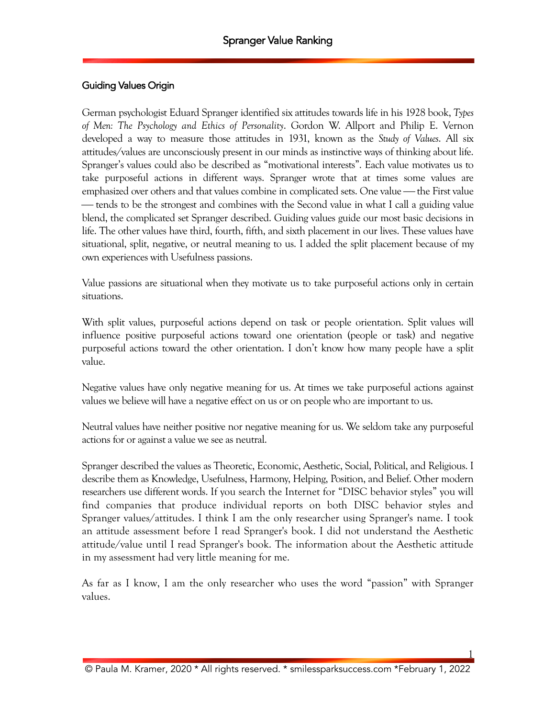#### Guiding Values Origin

German psychologist Eduard Spranger identified six attitudes towards life in his 1928 book, *Types of Men: The Psychology and Ethics of Personality*. Gordon W. Allport and Philip E. Vernon developed a way to measure those attitudes in 1931, known as the *Study of Values*. All six attitudes/values are unconsciously present in our minds as instinctive ways of thinking about life. Spranger's values could also be described as "motivational interests". Each value motivates us to take purposeful actions in different ways. Spranger wrote that at times some values are emphasized over others and that values combine in complicated sets. One value — the First value — tends to be the strongest and combines with the Second value in what I call a guiding value blend, the complicated set Spranger described. Guiding values guide our most basic decisions in life. The other values have third, fourth, fifth, and sixth placement in our lives. These values have situational, split, negative, or neutral meaning to us. I added the split placement because of my own experiences with Usefulness passions.

Value passions are situational when they motivate us to take purposeful actions only in certain situations.

With split values, purposeful actions depend on task or people orientation. Split values will influence positive purposeful actions toward one orientation (people or task) and negative purposeful actions toward the other orientation. I don't know how many people have a split value.

Negative values have only negative meaning for us. At times we take purposeful actions against values we believe will have a negative effect on us or on people who are important to us.

Neutral values have neither positive nor negative meaning for us. We seldom take any purposeful actions for or against a value we see as neutral.

Spranger described the values as Theoretic, Economic, Aesthetic, Social, Political, and Religious. I describe them as Knowledge, Usefulness, Harmony, Helping, Position, and Belief. Other modern researchers use different words. If you search the Internet for "DISC behavior styles" you will find companies that produce individual reports on both DISC behavior styles and Spranger values/attitudes. I think I am the only researcher using Spranger's name. I took an attitude assessment before I read Spranger's book. I did not understand the Aesthetic attitude/value until I read Spranger's book. The information about the Aesthetic attitude in my assessment had very little meaning for me.

As far as I know, I am the only researcher who uses the word "passion" with Spranger values.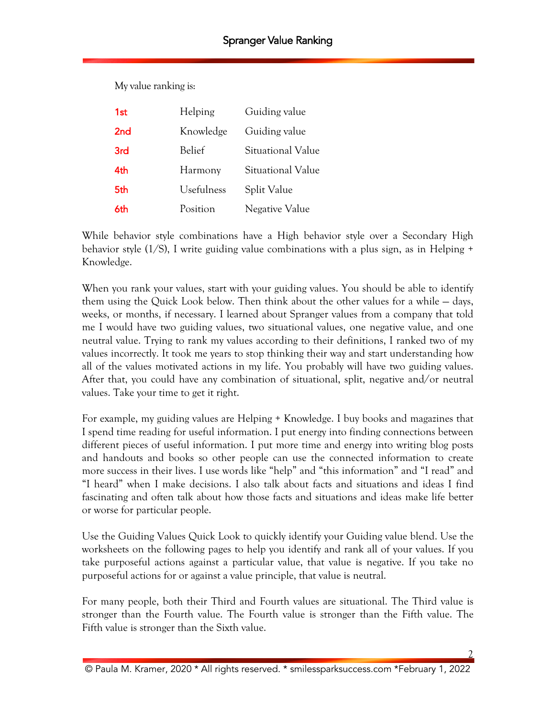My value ranking is:

| 1st             | Helping    | Guiding value     |
|-----------------|------------|-------------------|
| 2 <sub>nd</sub> | Knowledge  | Guiding value     |
| 3rd             | Belief     | Situational Value |
| 4th             | Harmony    | Situational Value |
| 5th             | Usefulness | Split Value       |
| 6th             | Position   | Negative Value    |

While behavior style combinations have a High behavior style over a Secondary High behavior style  $(1/S)$ , I write guiding value combinations with a plus sign, as in Helping  $+$ Knowledge.

When you rank your values, start with your guiding values. You should be able to identify them using the Quick Look below. Then think about the other values for a while — days, weeks, or months, if necessary. I learned about Spranger values from a company that told me I would have two guiding values, two situational values, one negative value, and one neutral value. Trying to rank my values according to their definitions, I ranked two of my values incorrectly. It took me years to stop thinking their way and start understanding how all of the values motivated actions in my life. You probably will have two guiding values. After that, you could have any combination of situational, split, negative and/or neutral values. Take your time to get it right.

For example, my guiding values are Helping + Knowledge. I buy books and magazines that I spend time reading for useful information. I put energy into finding connections between different pieces of useful information. I put more time and energy into writing blog posts and handouts and books so other people can use the connected information to create more success in their lives. I use words like "help" and "this information" and "I read" and "I heard" when I make decisions. I also talk about facts and situations and ideas I find fascinating and often talk about how those facts and situations and ideas make life better or worse for particular people.

Use the Guiding Values Quick Look to quickly identify your Guiding value blend. Use the worksheets on the following pages to help you identify and rank all of your values. If you take purposeful actions against a particular value, that value is negative. If you take no purposeful actions for or against a value principle, that value is neutral.

For many people, both their Third and Fourth values are situational. The Third value is stronger than the Fourth value. The Fourth value is stronger than the Fifth value. The Fifth value is stronger than the Sixth value.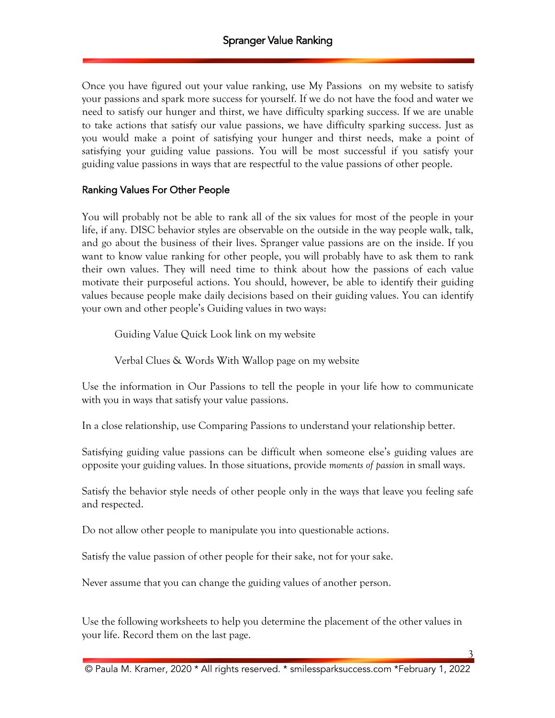Once you have figured out your value ranking, use My Passions on my website to satisfy your passions and spark more success for yourself. If we do not have the food and water we need to satisfy our hunger and thirst, we have difficulty sparking success. If we are unable to take actions that satisfy our value passions, we have difficulty sparking success. Just as you would make a point of satisfying your hunger and thirst needs, make a point of satisfying your guiding value passions. You will be most successful if you satisfy your guiding value passions in ways that are respectful to the value passions of other people.

#### Ranking Values For Other People

You will probably not be able to rank all of the six values for most of the people in your life, if any. DISC behavior styles are observable on the outside in the way people walk, talk, and go about the business of their lives. Spranger value passions are on the inside. If you want to know value ranking for other people, you will probably have to ask them to rank their own values. They will need time to think about how the passions of each value motivate their purposeful actions. You should, however, be able to identify their guiding values because people make daily decisions based on their guiding values. You can identify your own and other people's Guiding values in two ways:

Guiding Value Quick Look link on my website

Verbal Clues & Words With Wallop page on my website

Use the information in Our Passions to tell the people in your life how to communicate with you in ways that satisfy your value passions.

In a close relationship, use Comparing Passions to understand your relationship better.

Satisfying guiding value passions can be difficult when someone else's guiding values are opposite your guiding values. In those situations, provide *moments of passion* in small ways.

Satisfy the behavior style needs of other people only in the ways that leave you feeling safe and respected.

Do not allow other people to manipulate you into questionable actions.

Satisfy the value passion of other people for their sake, not for your sake.

Never assume that you can change the guiding values of another person.

Use the following worksheets to help you determine the placement of the other values in your life. Record them on the last page.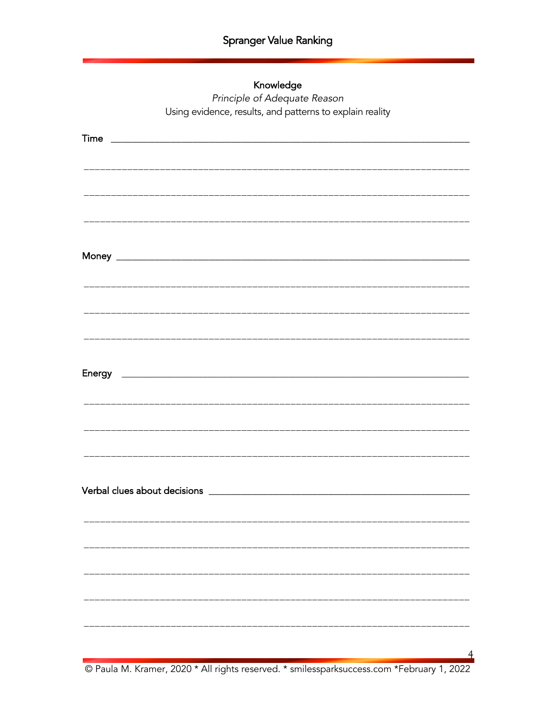## Knowledge

Principle of Adequate Reason Using evidence, results, and patterns to explain reality

© Paula M. Kramer, 2020 \* All rights reserved. \* smilessparksuccess.com \*February 1, 2022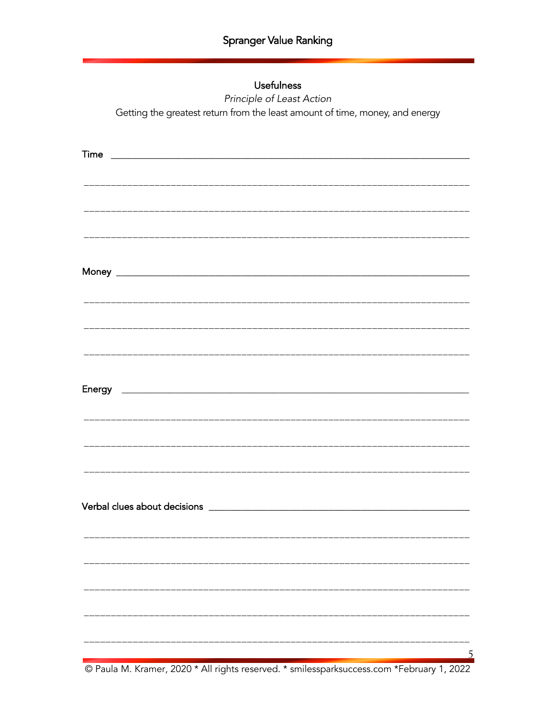### **Usefulness**

Principle of Least Action Getting the greatest return from the least amount of time, money, and energy

| Time<br><u> 2000 - Jan James James Jan James James James James James James James James James James James James James Jam</u> |  |
|------------------------------------------------------------------------------------------------------------------------------|--|
|                                                                                                                              |  |
|                                                                                                                              |  |
|                                                                                                                              |  |
|                                                                                                                              |  |
|                                                                                                                              |  |
|                                                                                                                              |  |
|                                                                                                                              |  |
|                                                                                                                              |  |
|                                                                                                                              |  |
|                                                                                                                              |  |
|                                                                                                                              |  |
|                                                                                                                              |  |
|                                                                                                                              |  |
|                                                                                                                              |  |
|                                                                                                                              |  |
|                                                                                                                              |  |
|                                                                                                                              |  |
|                                                                                                                              |  |
|                                                                                                                              |  |
|                                                                                                                              |  |
|                                                                                                                              |  |
|                                                                                                                              |  |
|                                                                                                                              |  |
|                                                                                                                              |  |
|                                                                                                                              |  |
|                                                                                                                              |  |
|                                                                                                                              |  |

© Paula M. Kramer, 2020 \* All rights reserved. \* smilessparksuccess.com \*February 1, 2022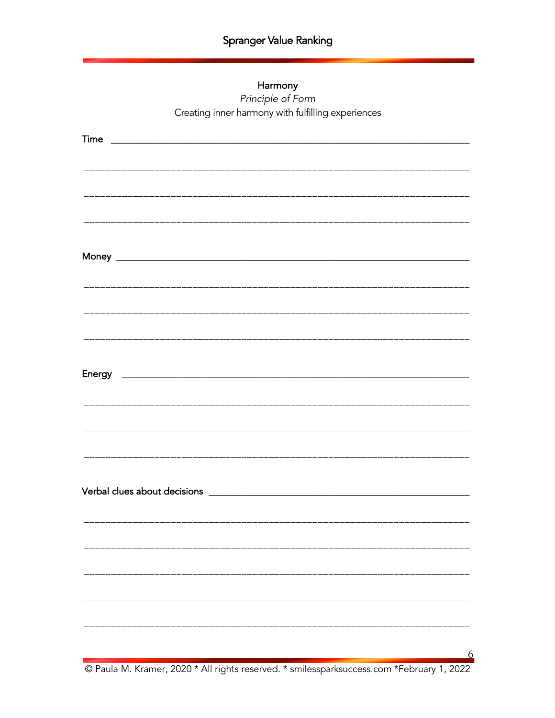#### Harmony

Principle of Form Creating inner harmony with fulfilling experiences

© Paula M. Kramer, 2020 \* All rights reserved. \* smilessparksuccess.com \*February 1, 2022

6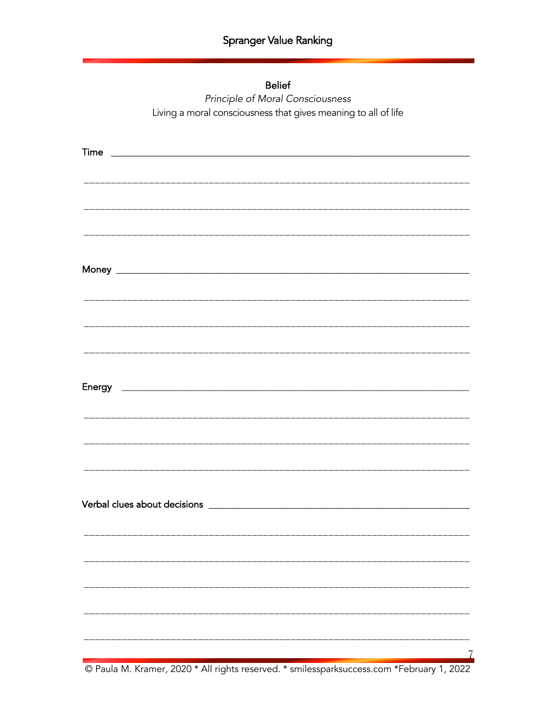| <b>Belief</b>                                                  |
|----------------------------------------------------------------|
| Principle of Moral Consciousness                               |
| Living a moral consciousness that gives meaning to all of life |

e Paula M. Kramer, 2020 \* All rights reserved. \* smilessparksuccess.com \*February 1, 2022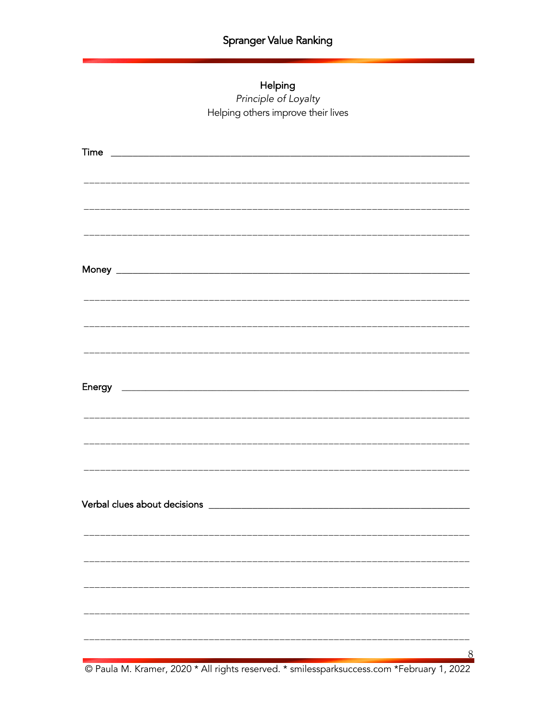# Helping Principle of Loyalty Helping others improve their lives

C<br>C Paula M. Kramer, 2020 \* All rights reserved. \* smilessparksuccess.com \*February 1, 2022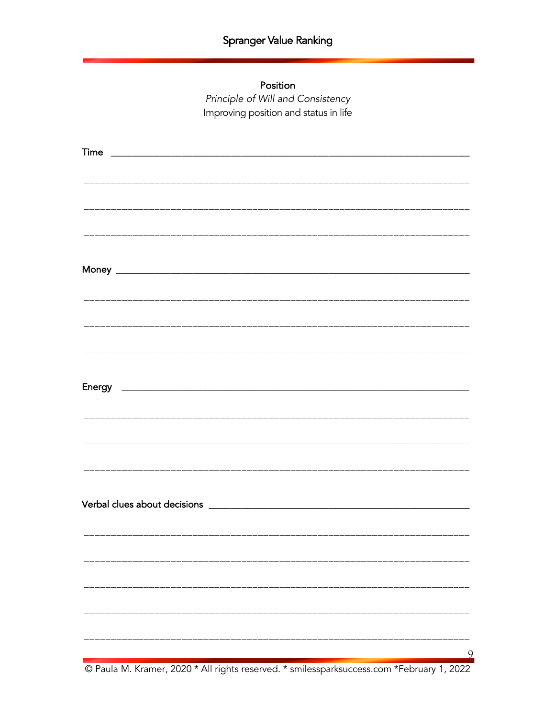Position

Principle of Will and Consistency Improving position and status in life

© Paula M. Kramer, 2020 \* All rights reserved. \* smilessparksuccess.com \*February 1, 2022